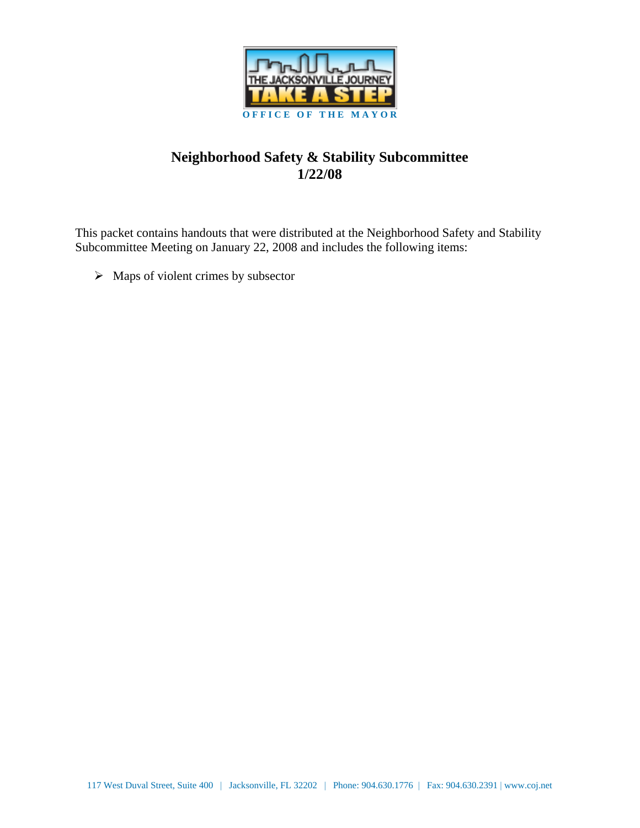

## **Neighborhood Safety & Stability Subcommittee 1/22/08**

This packet contains handouts that were distributed at the Neighborhood Safety and Stability Subcommittee Meeting on January 22, 2008 and includes the following items:

 $\triangleright$  Maps of violent crimes by subsector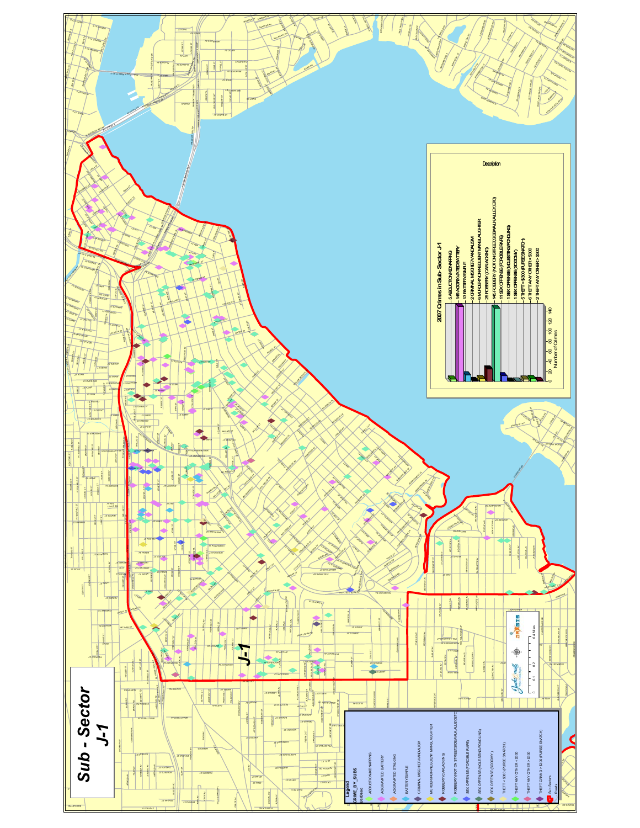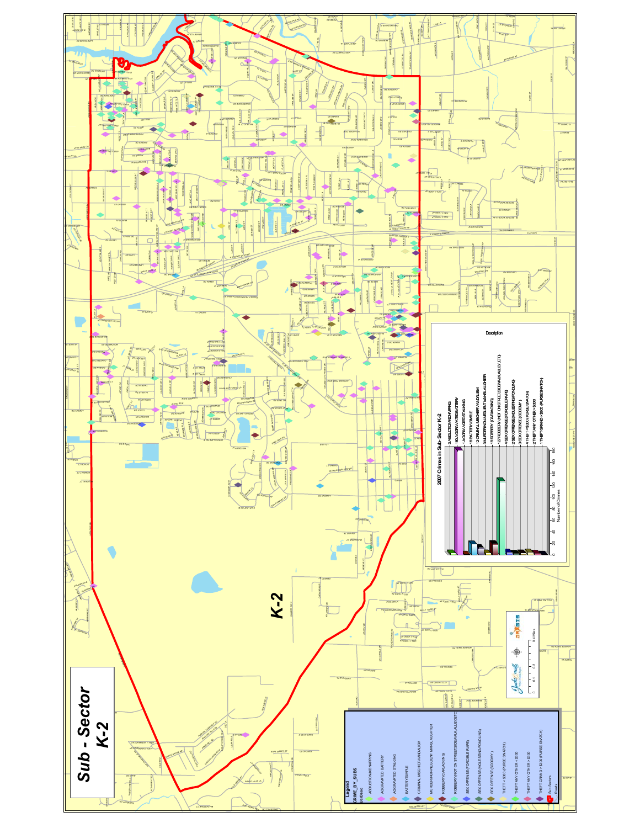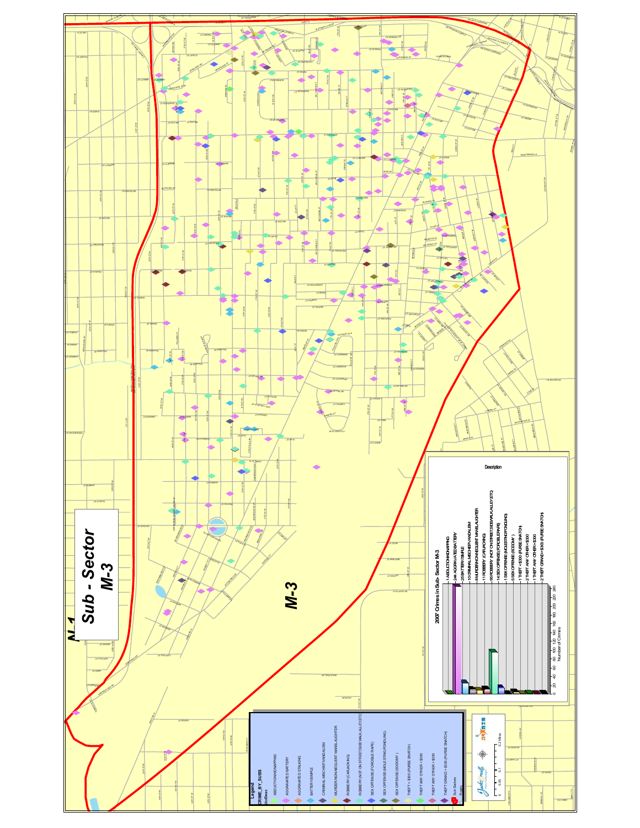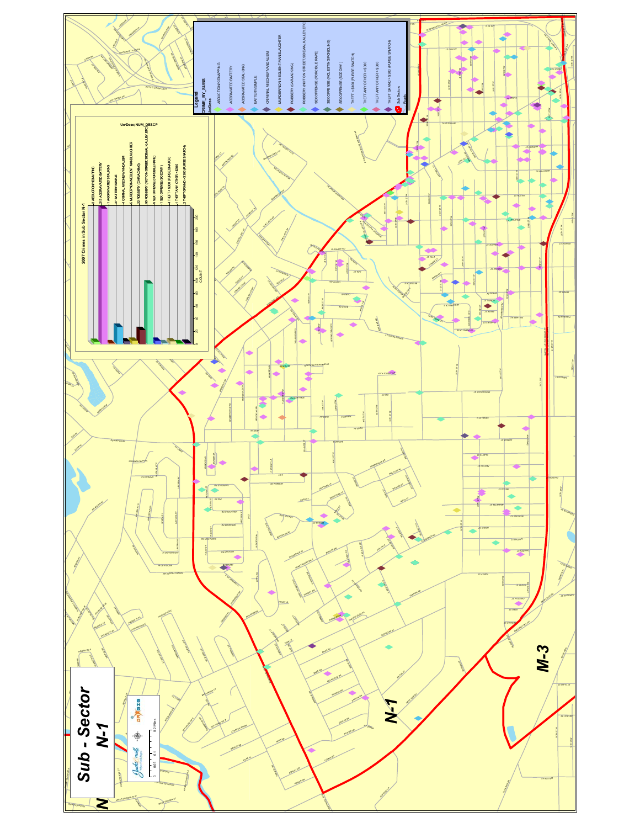